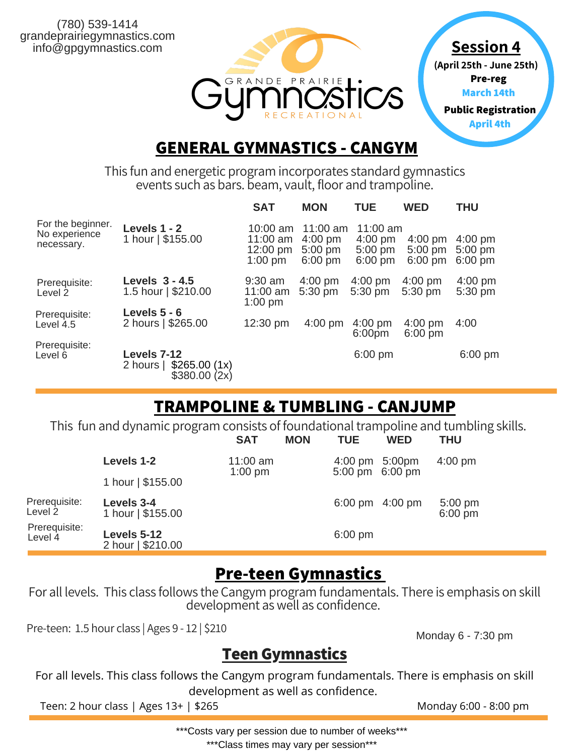(780) 539-1414 grandeprairiegymnastics.com info@gpgymnastics.com



**Session 4 (April 25th - June 25th) Pre-reg March 14th Public Registration**

**April 4th**

#### **GENERAL GYMNASTICS - CANGYM**

This fun and energetic program incorporates standard gymnastics events such as bars. beam, vault, floor and trampoline.

|                                                  |                                                          | <b>SAT</b>                                    | <b>MON</b>                                                | <b>TUE</b>                                        | <b>WED</b>                                  | <b>THU</b>                          |
|--------------------------------------------------|----------------------------------------------------------|-----------------------------------------------|-----------------------------------------------------------|---------------------------------------------------|---------------------------------------------|-------------------------------------|
| For the beginner.<br>No experience<br>necessary. | Levels 1 - 2<br>1 hour   \$155.00                        | 10:00 am<br>11:00 am<br>12:00 pm<br>$1:00$ pm | $11:00$ am<br>$4:00 \text{ pm}$<br>$5:00$ pm<br>$6:00$ pm | $11:00$ am<br>$4:00$ pm<br>$5:00$ pm<br>$6:00$ pm | $4:00 \text{ pm}$<br>$5:00$ pm<br>$6:00$ pm | $4:00$ pm<br>$5:00$ pm<br>$6:00$ pm |
| Prerequisite:<br>Level 2                         | Levels $3 - 4.5$<br>1.5 hour   \$210.00                  | $9:30$ am<br>11:00 am<br>$1:00$ pm            | $4:00$ pm<br>$5:30$ pm                                    | $4:00$ pm<br>$5:30$ pm                            | $4:00$ pm<br>$5:30$ pm                      | $4:00$ pm<br>$5:30$ pm              |
| Prerequisite:<br>Level 4.5                       | Levels $5 - 6$<br>2 hours   \$265.00                     | $12:30 \text{ pm}$                            | $4:00$ pm                                                 | $4:00$ pm<br>6:00 <sub>pm</sub>                   | $4:00 \text{ pm}$<br>$6:00$ pm              | 4:00                                |
| Prerequisite:<br>Level 6                         | Levels 7-12<br>\$265.00(1x)<br>2 hours  <br>\$380.00(2x) |                                               |                                                           | $6:00$ pm                                         |                                             | $6:00 \text{ pm}$                   |

## **TRAMPOLINE & TUMBLING - CANJUMP**

This fun and dynamic program consists of foundational trampoline and tumbling skills.

|                          |                                  | <b>SAT</b>              | <b>MON</b> | <b>TUE</b>                                  | <b>WED</b>        | <b>THU</b>             |  |
|--------------------------|----------------------------------|-------------------------|------------|---------------------------------------------|-------------------|------------------------|--|
|                          | Levels 1-2                       | $11:00$ am<br>$1:00$ pm |            | 4:00 pm 5:00pm<br>$5:00 \text{ pm}$ 6:00 pm |                   | $4:00$ pm              |  |
|                          | 1 hour   \$155.00                |                         |            |                                             |                   |                        |  |
| Prerequisite:<br>Level 2 | Levels 3-4<br>1 hour   \$155.00  |                         |            |                                             | 6:00 pm $4:00$ pm | $5:00$ pm<br>$6:00$ pm |  |
| Prerequisite:<br>Level 4 | Levels 5-12<br>2 hour   \$210.00 |                         |            | $6:00$ pm                                   |                   |                        |  |

## **Pre-teen Gymnastics**

For all levels. This class follows the Cangym program fundamentals. There is emphasis on skill development as well as confidence.

Pre-teen: 1.5 hour class | Ages 9 - 12 | \$210

Monday 6 - 7:30 pm

#### **TeenGymnastics**

For all levels. This class follows the Cangym program fundamentals. There is emphasis on skill development as well as confidence.

Teen: 2 hour class | Ages 13+ | \$265 Monday 6:00 - 8:00 pm

\*\*\*Costs vary per session due to number of weeks\*\*\*

\*\*\*Class times may vary per session\*\*\*